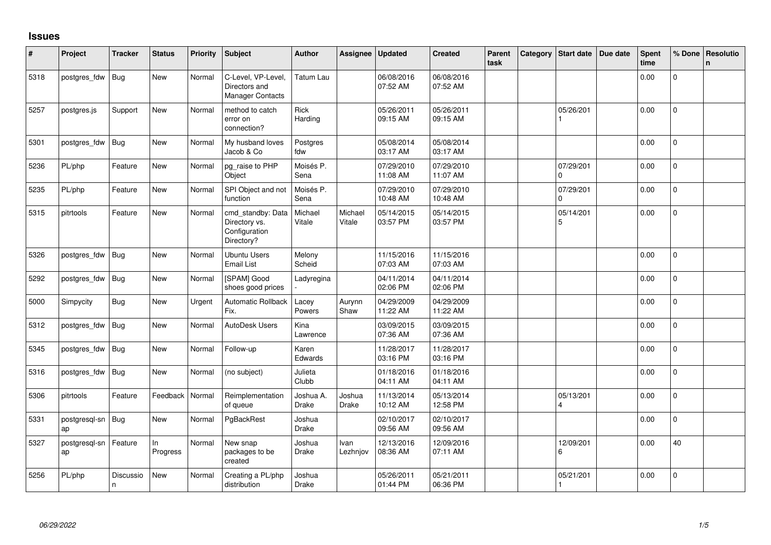## **Issues**

| #    | Project             | <b>Tracker</b> | <b>Status</b>     | <b>Priority</b> | <b>Subject</b>                                                    | Author                 | Assignee          | <b>Updated</b>         | <b>Created</b>         | Parent<br>task | Category | Start date                | Due date | <b>Spent</b><br>time | % Done         | Resolutio<br>$\mathsf{n}$ |
|------|---------------------|----------------|-------------------|-----------------|-------------------------------------------------------------------|------------------------|-------------------|------------------------|------------------------|----------------|----------|---------------------------|----------|----------------------|----------------|---------------------------|
| 5318 | postgres_fdw        | <b>Bug</b>     | New               | Normal          | C-Level, VP-Level,<br>Directors and<br><b>Manager Contacts</b>    | Tatum Lau              |                   | 06/08/2016<br>07:52 AM | 06/08/2016<br>07:52 AM |                |          |                           |          | 0.00                 | $\Omega$       |                           |
| 5257 | postgres.js         | Support        | New               | Normal          | method to catch<br>error on<br>connection?                        | Rick<br>Harding        |                   | 05/26/2011<br>09:15 AM | 05/26/2011<br>09:15 AM |                |          | 05/26/201                 |          | 0.00                 | $\mathbf 0$    |                           |
| 5301 | postgres fdw        | <b>Bug</b>     | New               | Normal          | My husband loves<br>Jacob & Co                                    | Postgres<br>fdw        |                   | 05/08/2014<br>03:17 AM | 05/08/2014<br>03:17 AM |                |          |                           |          | 0.00                 | 0              |                           |
| 5236 | PL/php              | Feature        | New               | Normal          | pg_raise to PHP<br>Object                                         | Moisés P.<br>Sena      |                   | 07/29/2010<br>11:08 AM | 07/29/2010<br>11:07 AM |                |          | 07/29/201<br><sup>0</sup> |          | 0.00                 | $\overline{0}$ |                           |
| 5235 | PL/php              | Feature        | New               | Normal          | SPI Object and not<br>function                                    | Moisés P.<br>Sena      |                   | 07/29/2010<br>10:48 AM | 07/29/2010<br>10:48 AM |                |          | 07/29/201<br>$\Omega$     |          | 0.00                 | $\Omega$       |                           |
| 5315 | pitrtools           | Feature        | New               | Normal          | cmd_standby: Data<br>Directory vs.<br>Configuration<br>Directory? | Michael<br>Vitale      | Michael<br>Vitale | 05/14/2015<br>03:57 PM | 05/14/2015<br>03:57 PM |                |          | 05/14/201<br>5            |          | 0.00                 | $\overline{0}$ |                           |
| 5326 | postgres_fdw        | <b>Bug</b>     | <b>New</b>        | Normal          | <b>Ubuntu Users</b><br><b>Email List</b>                          | Melony<br>Scheid       |                   | 11/15/2016<br>07:03 AM | 11/15/2016<br>07:03 AM |                |          |                           |          | 0.00                 | $\Omega$       |                           |
| 5292 | postgres_fdw        | <b>Bug</b>     | <b>New</b>        | Normal          | [SPAM] Good<br>shoes good prices                                  | Ladyregina             |                   | 04/11/2014<br>02:06 PM | 04/11/2014<br>02:06 PM |                |          |                           |          | 0.00                 | $\Omega$       |                           |
| 5000 | Simpycity           | <b>Bug</b>     | New               | Urgent          | Automatic Rollback<br>Fix.                                        | Lacey<br>Powers        | Aurynn<br>Shaw    | 04/29/2009<br>11:22 AM | 04/29/2009<br>11:22 AM |                |          |                           |          | 0.00                 | 0              |                           |
| 5312 | postgres_fdw        | Bug            | New               | Normal          | AutoDesk Users                                                    | Kina<br>Lawrence       |                   | 03/09/2015<br>07:36 AM | 03/09/2015<br>07:36 AM |                |          |                           |          | 0.00                 | $\Omega$       |                           |
| 5345 | postgres_fdw        | <b>Bug</b>     | <b>New</b>        | Normal          | Follow-up                                                         | Karen<br>Edwards       |                   | 11/28/2017<br>03:16 PM | 11/28/2017<br>03:16 PM |                |          |                           |          | 0.00                 | $\Omega$       |                           |
| 5316 | postgres_fdw        | Bug            | <b>New</b>        | Normal          | (no subject)                                                      | Julieta<br>Clubb       |                   | 01/18/2016<br>04:11 AM | 01/18/2016<br>04:11 AM |                |          |                           |          | 0.00                 | $\Omega$       |                           |
| 5306 | pitrtools           | Feature        | Feedback   Normal |                 | Reimplementation<br>of queue                                      | Joshua A.<br>Drake     | Joshua<br>Drake   | 11/13/2014<br>10:12 AM | 05/13/2014<br>12:58 PM |                |          | 05/13/201<br>4            |          | 0.00                 | 0              |                           |
| 5331 | postgresql-sn<br>ap | Bug            | New               | Normal          | PgBackRest                                                        | Joshua<br><b>Drake</b> |                   | 02/10/2017<br>09:56 AM | 02/10/2017<br>09:56 AM |                |          |                           |          | 0.00                 | 0              |                           |
| 5327 | postgresql-sn<br>ap | Feature        | ln.<br>Progress   | Normal          | New snap<br>packages to be<br>created                             | Joshua<br>Drake        | Ivan<br>Lezhnjov  | 12/13/2016<br>08:36 AM | 12/09/2016<br>07:11 AM |                |          | 12/09/201<br>6            |          | 0.00                 | 40             |                           |
| 5256 | PL/php              | Discussio<br>n | New               | Normal          | Creating a PL/php<br>distribution                                 | Joshua<br>Drake        |                   | 05/26/2011<br>01:44 PM | 05/21/2011<br>06:36 PM |                |          | 05/21/201                 |          | 0.00                 | $\Omega$       |                           |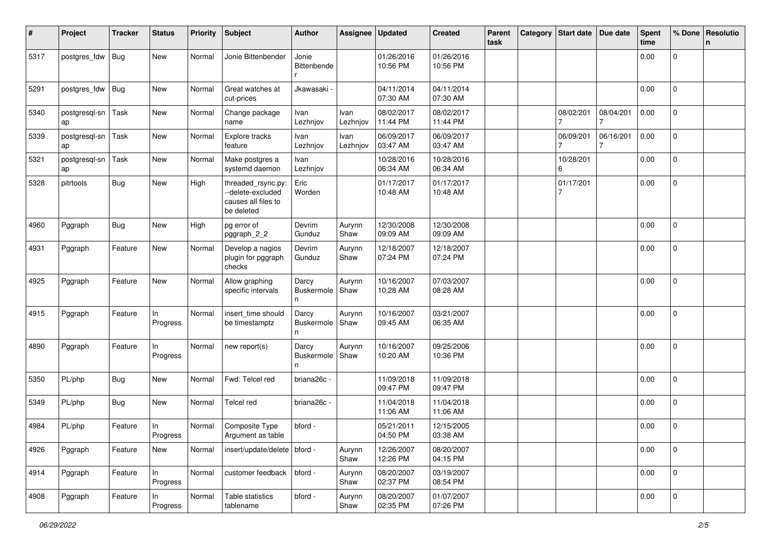| #    | Project             | <b>Tracker</b> | <b>Status</b>   | <b>Priority</b> | Subject                                                                      | <b>Author</b>                   | Assignee         | <b>Updated</b>         | <b>Created</b>         | Parent<br>task | Category | <b>Start date</b> | Due date  | <b>Spent</b><br>time | % Done         | Resolutio<br>n |
|------|---------------------|----------------|-----------------|-----------------|------------------------------------------------------------------------------|---------------------------------|------------------|------------------------|------------------------|----------------|----------|-------------------|-----------|----------------------|----------------|----------------|
| 5317 | postgres_fdw        | <b>Bug</b>     | New             | Normal          | Jonie Bittenbender                                                           | Jonie<br>Bittenbende            |                  | 01/26/2016<br>10:56 PM | 01/26/2016<br>10:56 PM |                |          |                   |           | 0.00                 | $\mathbf 0$    |                |
| 5291 | postgres_fdw        | <b>Bug</b>     | New             | Normal          | Great watches at<br>cut-prices                                               | Jkawasaki ·                     |                  | 04/11/2014<br>07:30 AM | 04/11/2014<br>07:30 AM |                |          |                   |           | 0.00                 | $\overline{0}$ |                |
| 5340 | postgresql-sn<br>ap | $ $ Task       | New             | Normal          | Change package<br>name                                                       | Ivan<br>Lezhnjov                | Ivan<br>Lezhnjov | 08/02/2017<br>11:44 PM | 08/02/2017<br>11:44 PM |                |          | 08/02/201         | 08/04/201 | 0.00                 | $\mathbf 0$    |                |
| 5339 | postgresql-sn<br>ap | Task           | New             | Normal          | Explore tracks<br>feature                                                    | Ivan<br>Lezhnjov                | Ivan<br>Lezhnjov | 06/09/2017<br>03:47 AM | 06/09/2017<br>03:47 AM |                |          | 06/09/201         | 06/16/201 | 0.00                 | $\mathbf 0$    |                |
| 5321 | postgresql-sn<br>ap | Task           | New             | Normal          | Make postgres a<br>systemd daemon                                            | Ivan<br>Lezhnjov                |                  | 10/28/2016<br>06:34 AM | 10/28/2016<br>06:34 AM |                |          | 10/28/201<br>6    |           | 0.00                 | $\mathbf 0$    |                |
| 5328 | pitrtools           | Bug            | New             | High            | threaded_rsync.py:<br>--delete-excluded<br>causes all files to<br>be deleted | Eric<br>Worden                  |                  | 01/17/2017<br>10:48 AM | 01/17/2017<br>10:48 AM |                |          | 01/17/201         |           | 0.00                 | $\mathbf 0$    |                |
| 4960 | Pggraph             | Bug            | New             | High            | pg error of<br>pggraph_2_2                                                   | Devrim<br>Gunduz                | Aurynn<br>Shaw   | 12/30/2008<br>09:09 AM | 12/30/2008<br>09:09 AM |                |          |                   |           | 0.00                 | 0              |                |
| 4931 | Pggraph             | Feature        | New             | Normal          | Develop a nagios<br>plugin for pggraph<br>checks                             | Devrim<br>Gunduz                | Aurynn<br>Shaw   | 12/18/2007<br>07:24 PM | 12/18/2007<br>07:24 PM |                |          |                   |           | 0.00                 | $\mathbf 0$    |                |
| 4925 | Pggraph             | Feature        | New             | Normal          | Allow graphing<br>specific intervals                                         | Darcy<br><b>Buskermole</b><br>n | Aurynn<br>Shaw   | 10/16/2007<br>10:28 AM | 07/03/2007<br>08:28 AM |                |          |                   |           | 0.00                 | $\mathbf 0$    |                |
| 4915 | Pggraph             | Feature        | In<br>Progress  | Normal          | insert_time should<br>be timestamptz                                         | Darcy<br>Buskermole<br>n        | Aurynn<br>Shaw   | 10/16/2007<br>09:45 AM | 03/21/2007<br>06:35 AM |                |          |                   |           | 0.00                 | $\mathbf 0$    |                |
| 4890 | Pggraph             | Feature        | In.<br>Progress | Normal          | new report(s)                                                                | Darcy<br><b>Buskermole</b><br>n | Aurynn<br>Shaw   | 10/16/2007<br>10:20 AM | 09/25/2006<br>10:36 PM |                |          |                   |           | 0.00                 | $\mathbf 0$    |                |
| 5350 | PL/php              | <b>Bug</b>     | New             | Normal          | Fwd: Telcel red                                                              | briana26c -                     |                  | 11/09/2018<br>09:47 PM | 11/09/2018<br>09:47 PM |                |          |                   |           | 0.00                 | $\mathbf 0$    |                |
| 5349 | PL/php              | <b>Bug</b>     | New             | Normal          | <b>Telcel red</b>                                                            | briana26c -                     |                  | 11/04/2018<br>11:06 AM | 11/04/2018<br>11:06 AM |                |          |                   |           | 0.00                 | $\mathbf 0$    |                |
| 4984 | PL/php              | Feature        | ln.<br>Progress | Normal          | Composite Type<br>Argument as table                                          | bford -                         |                  | 05/21/2011<br>04:50 PM | 12/15/2005<br>03:38 AM |                |          |                   |           | 0.00                 | $\mathbf 0$    |                |
| 4926 | Pggraph             | Feature        | New             | Normal          | insert/update/delete   bford -                                               |                                 | Aurynn<br>Shaw   | 12/26/2007<br>12:26 PM | 08/20/2007<br>04:15 PM |                |          |                   |           | 0.00                 | $\overline{0}$ |                |
| 4914 | Pggraph             | Feature        | In<br>Progress  | Normal          | customer feedback                                                            | bford -                         | Aurynn<br>Shaw   | 08/20/2007<br>02:37 PM | 03/19/2007<br>08:54 PM |                |          |                   |           | 0.00                 | $\overline{0}$ |                |
| 4908 | Pggraph             | Feature        | In<br>Progress  | Normal          | Table statistics<br>tablename                                                | bford -                         | Aurynn<br>Shaw   | 08/20/2007<br>02:35 PM | 01/07/2007<br>07:26 PM |                |          |                   |           | 0.00                 | $\overline{0}$ |                |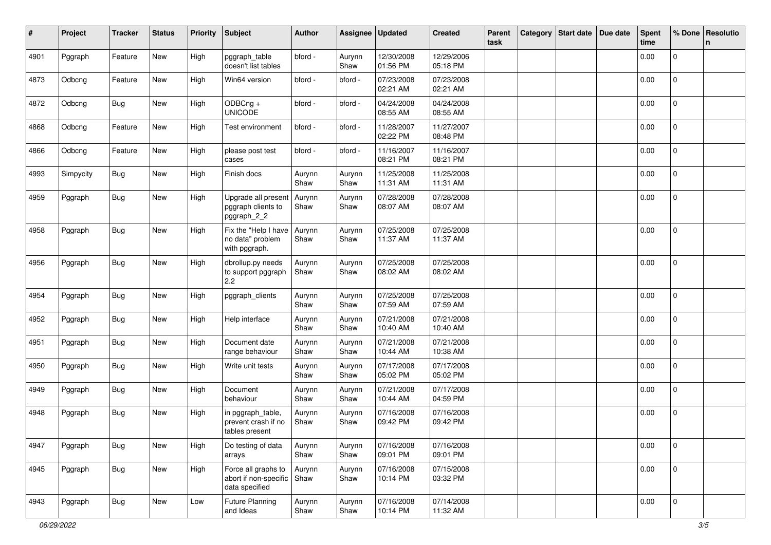| #    | Project   | <b>Tracker</b> | <b>Status</b> | <b>Priority</b> | <b>Subject</b>                                                        | <b>Author</b>  | Assignee       | <b>Updated</b>         | <b>Created</b>         | Parent<br>task | Category | Start date Due date | <b>Spent</b><br>time | % Done              | Resolutio<br>n. |
|------|-----------|----------------|---------------|-----------------|-----------------------------------------------------------------------|----------------|----------------|------------------------|------------------------|----------------|----------|---------------------|----------------------|---------------------|-----------------|
| 4901 | Pggraph   | Feature        | New           | High            | pggraph_table<br>doesn't list tables                                  | bford -        | Aurynn<br>Shaw | 12/30/2008<br>01:56 PM | 12/29/2006<br>05:18 PM |                |          |                     | 0.00                 | $\mathbf 0$         |                 |
| 4873 | Odbcng    | Feature        | New           | High            | Win64 version                                                         | bford -        | bford -        | 07/23/2008<br>02:21 AM | 07/23/2008<br>02:21 AM |                |          |                     | 0.00                 | $\mathbf 0$         |                 |
| 4872 | Odbcng    | Bug            | New           | High            | ODBCng +<br><b>UNICODE</b>                                            | bford -        | bford -        | 04/24/2008<br>08:55 AM | 04/24/2008<br>08:55 AM |                |          |                     | 0.00                 | 0                   |                 |
| 4868 | Odbcng    | Feature        | New           | High            | Test environment                                                      | bford -        | bford -        | 11/28/2007<br>02:22 PM | 11/27/2007<br>08:48 PM |                |          |                     | 0.00                 | $\mathbf 0$         |                 |
| 4866 | Odbcng    | Feature        | New           | High            | please post test<br>cases                                             | bford -        | bford -        | 11/16/2007<br>08:21 PM | 11/16/2007<br>08:21 PM |                |          |                     | 0.00                 | $\mathbf{0}$        |                 |
| 4993 | Simpycity | <b>Bug</b>     | New           | High            | Finish docs                                                           | Aurynn<br>Shaw | Aurynn<br>Shaw | 11/25/2008<br>11:31 AM | 11/25/2008<br>11:31 AM |                |          |                     | 0.00                 | $\overline{0}$      |                 |
| 4959 | Pggraph   | <b>Bug</b>     | New           | High            | Upgrade all present<br>pggraph clients to<br>pggraph_2_2              | Aurynn<br>Shaw | Aurynn<br>Shaw | 07/28/2008<br>08:07 AM | 07/28/2008<br>08:07 AM |                |          |                     | 0.00                 | $\mathbf{0}$        |                 |
| 4958 | Pggraph   | Bug            | New           | High            | Fix the "Help I have<br>no data" problem<br>with pggraph.             | Aurynn<br>Shaw | Aurynn<br>Shaw | 07/25/2008<br>11:37 AM | 07/25/2008<br>11:37 AM |                |          |                     | 0.00                 | $\overline{0}$      |                 |
| 4956 | Pggraph   | <b>Bug</b>     | New           | High            | dbrollup.py needs<br>to support pggraph<br>$2.2\phantom{0}$           | Aurynn<br>Shaw | Aurynn<br>Shaw | 07/25/2008<br>08:02 AM | 07/25/2008<br>08:02 AM |                |          |                     | 0.00                 | $\overline{0}$      |                 |
| 4954 | Pggraph   | <b>Bug</b>     | New           | High            | pggraph_clients                                                       | Aurynn<br>Shaw | Aurynn<br>Shaw | 07/25/2008<br>07:59 AM | 07/25/2008<br>07:59 AM |                |          |                     | 0.00                 | 0                   |                 |
| 4952 | Pggraph   | <b>Bug</b>     | New           | High            | Help interface                                                        | Aurynn<br>Shaw | Aurynn<br>Shaw | 07/21/2008<br>10:40 AM | 07/21/2008<br>10:40 AM |                |          |                     | 0.00                 | $\mathbf{0}$        |                 |
| 4951 | Pggraph   | Bug            | New           | High            | Document date<br>range behaviour                                      | Aurynn<br>Shaw | Aurynn<br>Shaw | 07/21/2008<br>10:44 AM | 07/21/2008<br>10:38 AM |                |          |                     | 0.00                 | 0                   |                 |
| 4950 | Pggraph   | <b>Bug</b>     | New           | High            | Write unit tests                                                      | Aurynn<br>Shaw | Aurynn<br>Shaw | 07/17/2008<br>05:02 PM | 07/17/2008<br>05:02 PM |                |          |                     | 0.00                 | 0                   |                 |
| 4949 | Pggraph   | Bug            | New           | High            | Document<br>behaviour                                                 | Aurynn<br>Shaw | Aurynn<br>Shaw | 07/21/2008<br>10:44 AM | 07/17/2008<br>04:59 PM |                |          |                     | 0.00                 | 0                   |                 |
| 4948 | Pggraph   | <b>Bug</b>     | New           | High            | in pggraph_table,<br>prevent crash if no<br>tables present            | Aurynn<br>Shaw | Aurynn<br>Shaw | 07/16/2008<br>09:42 PM | 07/16/2008<br>09:42 PM |                |          |                     | 0.00                 | 0                   |                 |
| 4947 | Pggraph   | <b>Bug</b>     | New           | High            | Do testing of data<br>arrays                                          | Aurynn<br>Shaw | Aurynn<br>Shaw | 07/16/2008<br>09:01 PM | 07/16/2008<br>09:01 PM |                |          |                     | 0.00                 | $\mathsf{O}\xspace$ |                 |
| 4945 | Pggraph   | <b>Bug</b>     | New           | High            | Force all graphs to<br>abort if non-specific   Shaw<br>data specified | Aurynn         | Aurynn<br>Shaw | 07/16/2008<br>10:14 PM | 07/15/2008<br>03:32 PM |                |          |                     | 0.00                 | $\mathsf 0$         |                 |
| 4943 | Pggraph   | <b>Bug</b>     | New           | Low             | Future Planning<br>and Ideas                                          | Aurynn<br>Shaw | Aurynn<br>Shaw | 07/16/2008<br>10:14 PM | 07/14/2008<br>11:32 AM |                |          |                     | 0.00                 | $\mathsf{O}\xspace$ |                 |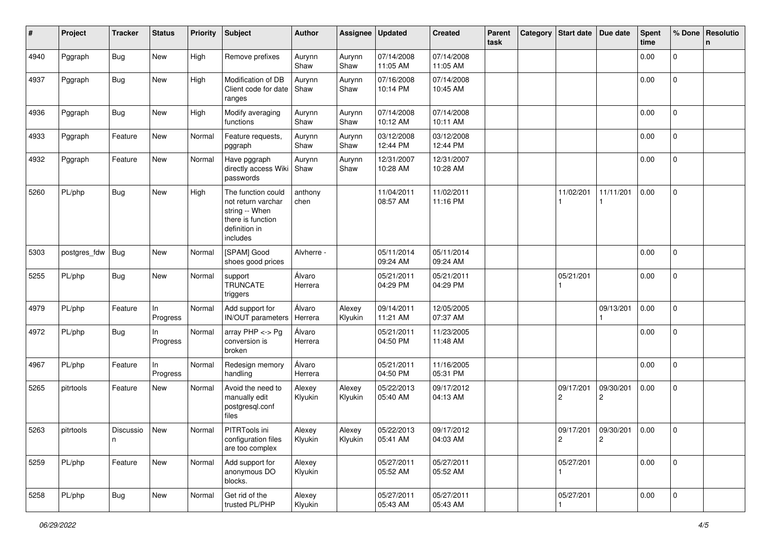| #    | Project      | <b>Tracker</b> | <b>Status</b>  | <b>Priority</b> | <b>Subject</b>                                                                                               | <b>Author</b>     | Assignee          | <b>Updated</b>         | <b>Created</b>         | Parent<br>task | Category | Start date                  | Due date                    | <b>Spent</b><br>time | % Done              | Resolutio<br>n |
|------|--------------|----------------|----------------|-----------------|--------------------------------------------------------------------------------------------------------------|-------------------|-------------------|------------------------|------------------------|----------------|----------|-----------------------------|-----------------------------|----------------------|---------------------|----------------|
| 4940 | Pggraph      | <b>Bug</b>     | New            | High            | Remove prefixes                                                                                              | Aurynn<br>Shaw    | Aurynn<br>Shaw    | 07/14/2008<br>11:05 AM | 07/14/2008<br>11:05 AM |                |          |                             |                             | 0.00                 | $\mathbf 0$         |                |
| 4937 | Pggraph      | Bug            | New            | High            | Modification of DB<br>Client code for date<br>ranges                                                         | Aurynn<br>Shaw    | Aurynn<br>Shaw    | 07/16/2008<br>10:14 PM | 07/14/2008<br>10:45 AM |                |          |                             |                             | 0.00                 | $\mathbf{0}$        |                |
| 4936 | Pggraph      | Bug            | New            | High            | Modify averaging<br>functions                                                                                | Aurynn<br>Shaw    | Aurynn<br>Shaw    | 07/14/2008<br>10:12 AM | 07/14/2008<br>10:11 AM |                |          |                             |                             | 0.00                 | $\mathbf{0}$        |                |
| 4933 | Pggraph      | Feature        | New            | Normal          | Feature requests,<br>pggraph                                                                                 | Aurynn<br>Shaw    | Aurynn<br>Shaw    | 03/12/2008<br>12:44 PM | 03/12/2008<br>12:44 PM |                |          |                             |                             | 0.00                 | 0                   |                |
| 4932 | Pggraph      | Feature        | New            | Normal          | Have pggraph<br>directly access Wiki<br>passwords                                                            | Aurynn<br>Shaw    | Aurynn<br>Shaw    | 12/31/2007<br>10:28 AM | 12/31/2007<br>10:28 AM |                |          |                             |                             | 0.00                 | 0                   |                |
| 5260 | PL/php       | <b>Bug</b>     | New            | High            | The function could<br>not return varchar<br>string -- When<br>there is function<br>definition in<br>includes | anthony<br>chen   |                   | 11/04/2011<br>08:57 AM | 11/02/2011<br>11:16 PM |                |          | 11/02/201<br>1              | 11/11/201<br>1              | 0.00                 | $\mathbf{0}$        |                |
| 5303 | postgres_fdw | Bug            | New            | Normal          | [SPAM] Good<br>shoes good prices                                                                             | Alvherre -        |                   | 05/11/2014<br>09:24 AM | 05/11/2014<br>09:24 AM |                |          |                             |                             | 0.00                 | $\mathbf{0}$        |                |
| 5255 | PL/php       | <b>Bug</b>     | New            | Normal          | support<br><b>TRUNCATE</b><br>triggers                                                                       | Álvaro<br>Herrera |                   | 05/21/2011<br>04:29 PM | 05/21/2011<br>04:29 PM |                |          | 05/21/201                   |                             | 0.00                 | $\mathbf 0$         |                |
| 4979 | PL/php       | Feature        | In<br>Progress | Normal          | Add support for<br>IN/OUT parameters                                                                         | Álvaro<br>Herrera | Alexey<br>Klyukin | 09/14/2011<br>11:21 AM | 12/05/2005<br>07:37 AM |                |          |                             | 09/13/201                   | 0.00                 | $\pmb{0}$           |                |
| 4972 | PL/php       | Bug            | In<br>Progress | Normal          | array $PHP \lt\gt P$ g<br>conversion is<br>broken                                                            | Álvaro<br>Herrera |                   | 05/21/2011<br>04:50 PM | 11/23/2005<br>11:48 AM |                |          |                             |                             | 0.00                 | $\mathbf 0$         |                |
| 4967 | PL/php       | Feature        | In<br>Progress | Normal          | Redesign memory<br>handling                                                                                  | Álvaro<br>Herrera |                   | 05/21/2011<br>04:50 PM | 11/16/2005<br>05:31 PM |                |          |                             |                             | 0.00                 | $\mathbf{0}$        |                |
| 5265 | pitrtools    | Feature        | New            | Normal          | Avoid the need to<br>manually edit<br>postgresql.conf<br>files                                               | Alexey<br>Klyukin | Alexey<br>Klyukin | 05/22/2013<br>05:40 AM | 09/17/2012<br>04:13 AM |                |          | 09/17/201<br>$\overline{c}$ | 09/30/201<br>$\overline{2}$ | 0.00                 | 0                   |                |
| 5263 | pitrtools    | Discussio<br>n | New            | Normal          | PITRTools ini<br>configuration files<br>are too complex                                                      | Alexey<br>Klyukin | Alexey<br>Klyukin | 05/22/2013<br>05:41 AM | 09/17/2012<br>04:03 AM |                |          | 09/17/201<br>$\overline{2}$ | 09/30/201<br>2              | 0.00                 | 0                   |                |
| 5259 | PL/php       | Feature        | New            | Normal          | Add support for<br>anonymous DO<br>blocks.                                                                   | Alexey<br>Klyukin |                   | 05/27/2011<br>05:52 AM | 05/27/2011<br>05:52 AM |                |          | 05/27/201<br>1              |                             | 0.00                 | $\mathsf{O}\xspace$ |                |
| 5258 | PL/php       | <b>Bug</b>     | New            | Normal          | Get rid of the<br>trusted PL/PHP                                                                             | Alexey<br>Klyukin |                   | 05/27/2011<br>05:43 AM | 05/27/2011<br>05:43 AM |                |          | 05/27/201                   |                             | 0.00                 | $\mathsf 0$         |                |